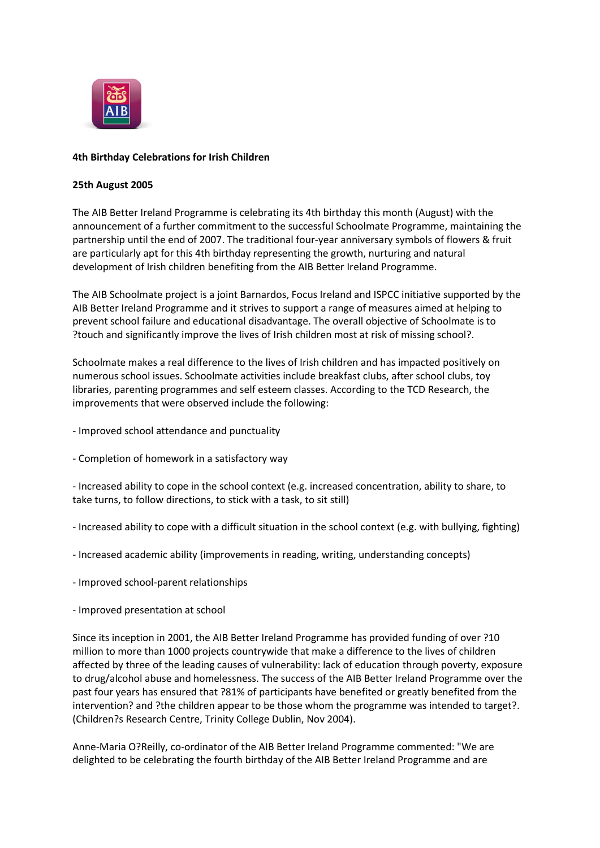

## **4th Birthday Celebrations for Irish Children**

## **25th August 2005**

The AIB Better Ireland Programme is celebrating its 4th birthday this month (August) with the announcement of a further commitment to the successful Schoolmate Programme, maintaining the partnership until the end of 2007. The traditional four-year anniversary symbols of flowers & fruit are particularly apt for this 4th birthday representing the growth, nurturing and natural development of Irish children benefiting from the AIB Better Ireland Programme.

The AIB Schoolmate project is a joint Barnardos, Focus Ireland and ISPCC initiative supported by the AIB Better Ireland Programme and it strives to support a range of measures aimed at helping to prevent school failure and educational disadvantage. The overall objective of Schoolmate is to ?touch and significantly improve the lives of Irish children most at risk of missing school?.

Schoolmate makes a real difference to the lives of Irish children and has impacted positively on numerous school issues. Schoolmate activities include breakfast clubs, after school clubs, toy libraries, parenting programmes and self esteem classes. According to the TCD Research, the improvements that were observed include the following:

- Improved school attendance and punctuality
- Completion of homework in a satisfactory way

- Increased ability to cope in the school context (e.g. increased concentration, ability to share, to take turns, to follow directions, to stick with a task, to sit still)

- Increased ability to cope with a difficult situation in the school context (e.g. with bullying, fighting)

- Increased academic ability (improvements in reading, writing, understanding concepts)
- Improved school-parent relationships
- Improved presentation at school

Since its inception in 2001, the AIB Better Ireland Programme has provided funding of over ?10 million to more than 1000 projects countrywide that make a difference to the lives of children affected by three of the leading causes of vulnerability: lack of education through poverty, exposure to drug/alcohol abuse and homelessness. The success of the AIB Better Ireland Programme over the past four years has ensured that ?81% of participants have benefited or greatly benefited from the intervention? and ?the children appear to be those whom the programme was intended to target?. (Children?s Research Centre, Trinity College Dublin, Nov 2004).

Anne-Maria O?Reilly, co-ordinator of the AIB Better Ireland Programme commented: "We are delighted to be celebrating the fourth birthday of the AIB Better Ireland Programme and are